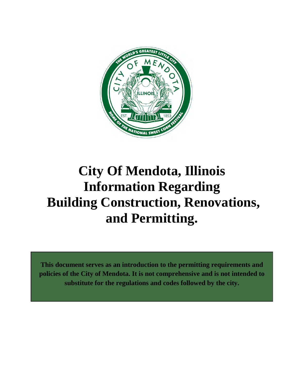

# **City Of Mendota, Illinois Information Regarding Building Construction, Renovations, and Permitting.**

**This document serves as an introduction to the permitting requirements and policies of the City of Mendota. It is not comprehensive and is not intended to substitute for the regulations and codes followed by the city.**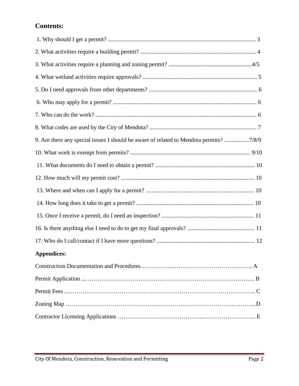# **Contents:**

| 9. Are there any special issues I should be aware of related to Mendota permits? 7/8/9 |
|----------------------------------------------------------------------------------------|
|                                                                                        |
|                                                                                        |
|                                                                                        |
|                                                                                        |
|                                                                                        |
|                                                                                        |
|                                                                                        |
|                                                                                        |
| <b>Appendices:</b>                                                                     |
|                                                                                        |
|                                                                                        |
|                                                                                        |
|                                                                                        |
|                                                                                        |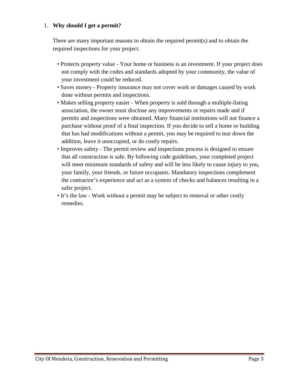# 1. **Why should I get a permit?**

There are many important reasons to obtain the required permit(s) and to obtain the required inspections for your project.

- Protects property value Your home or business is an investment. If your project does not comply with the codes and standards adopted by your community, the value of your investment could be reduced.
- Saves money Property insurance may not cover work or damages caused by work done without permits and inspections.
- Makes selling property easier When property is sold through a multiple-listing association, the owner must disclose any improvements or repairs made and if permits and inspections were obtained. Many financial institutions will not finance a purchase without proof of a final inspection. If you decide to sell a home or building that has had modifications without a permit, you may be required to tear down the addition, leave it unoccupied, or do costly repairs.
- Improves safety The permit review and inspections process is designed to ensure that all construction is safe. By following code guidelines, your completed project will meet minimum standards of safety and will be less likely to cause injury to you, your family, your friends, or future occupants. Mandatory inspections complement the contractor's experience and act as a system of checks and balances resulting in a safer project.
- It's the law Work without a permit may be subject to removal or other costly remedies.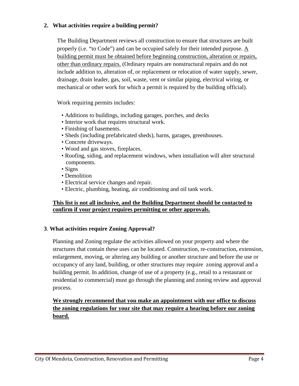# **2. What activities require a building permit?**

The Building Department reviews all construction to ensure that structures are built properly (i.e. "to Code") and can be occupied safely for their intended purpose. A building permit must be obtained before beginning construction, alteration or repairs, other than ordinary repairs. (Ordinary repairs are nonstructural repairs and do not include addition to, alteration of, or replacement or relocation of water supply, sewer, drainage, drain leader, gas, soil, waste, vent or similar piping, electrical wiring, or mechanical or other work for which a permit is required by the building official).

Work requiring permits includes:

- Additions to buildings, including garages, porches, and decks
- Interior work that requires structural work.
- Finishing of basements.
- Sheds (including prefabricated sheds), barns, garages, greenhouses.
- Concrete driveways.
- Wood and gas stoves, fireplaces.
- Roofing, siding, and replacement windows, when installation will alter structural components.
- Signs
- Demolition
- Electrical service changes and repair.
- Electric, plumbing, heating, air conditioning and oil tank work.

#### **This list is not all inclusive, and the Building Department should be contacted to confirm if your project requires permitting or other approvals.**

#### **3**. **What activities require Zoning Approval?**

Planning and Zoning regulate the activities allowed on your property and where the structures that contain these uses can be located. Construction, re-construction, extension, enlargement, moving, or altering any building or another structure and before the use or occupancy of any land, building, or other structures may require zoning approval and a building permit. In addition, change of use of a property (e.g., retail to a restaurant or residential to commercial) must go through the planning and zoning review and approval process.

**We strongly recommend that you make an appointment with our office to discuss the zoning regulations for your site that may require a hearing before our zoning board.**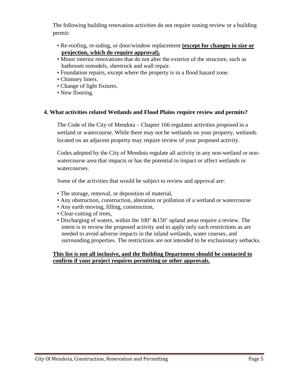The following building renovation activities do not require zoning review or a building permit:

- Re-roofing, re-siding, or door/window replacement **(except for changes in size or projection, which do require approval).**
- Minor interior renovations that do not alter the exterior of the structure, such as bathroom remodels, sheetrock and wall repair.
- Foundation repairs, except where the property is in a flood hazard zone.
- Chimney liners.
- Change of light fixtures.
- New flooring.

#### **4. What activities related Wetlands and Flood Plains require review and permits?**

The Code of the City of Mendota – Chapter 166 regulates activities proposed in a wetland or watercourse. While there may not be wetlands on your property, wetlands located on an adjacent property may require review of your proposed activity.

Codes adopted by the City of Mendota regulate all activity in any non-wetland or nonwatercourse area that impacts or has the potential to impact or affect wetlands or watercourses.

Some of the activities that would be subject to review and approval are:

- The storage, removal, or deposition of material,
- Any obstruction, construction, alteration or pollution of a wetland or watercourse
- Any earth moving, filling, construction,
- Clear-cutting of trees,
- Discharging of waters, within the 100' &150' upland areas require a review. The intent is to review the proposed activity and to apply only such restrictions as are needed to avoid adverse impacts in the inland wetlands, water courses, and surrounding properties. The restrictions are not intended to be exclusionary setbacks.

#### **This list is not all inclusive, and the Building Department should be contacted to confirm if your project requires permitting or other approvals.**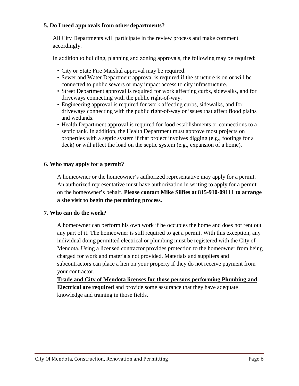## **5. Do I need approvals from other departments?**

All City Departments will participate in the review process and make comment accordingly.

In addition to building, planning and zoning approvals, the following may be required:

- City or State Fire Marshal approval may be required.
- Sewer and Water Department approval is required if the structure is on or will be connected to public sewers or may impact access to city infrastructure.
- Street Department approval is required for work affecting curbs, sidewalks, and for driveways connecting with the public right-of-way.
- Engineering approval is required for work affecting curbs, sidewalks, and for driveways connecting with the public right-of-way or issues that affect flood plains and wetlands.
- Health Department approval is required for food establishments or connections to a septic tank. In addition, the Health Department must approve most projects on properties with a septic system if that project involves digging (e.g., footings for a deck) or will affect the load on the septic system (e.g., expansion of a home).

# **6. Who may apply for a permit?**

A homeowner or the homeowner's authorized representative may apply for a permit. An authorized representative must have authorization in writing to apply for a permit on the homeowner's behalf. **Please contact Mike Silfies at 815-910-09111 to arrange a site visit to begin the permitting process.**

# **7. Who can do the work?**

A homeowner can perform his own work if he occupies the home and does not rent out any part of it. The homeowner is still required to get a permit. With this exception, any individual doing permitted electrical or plumbing must be registered with the City of Mendota. Using a licensed contractor provides protection to the homeowner from being charged for work and materials not provided. Materials and suppliers and subcontractors can place a lien on your property if they do not receive payment from your contractor.

**Trade and City of Mendota licenses for those persons performing Plumbing and Electrical are required** and provide some assurance that they have adequate knowledge and training in those fields.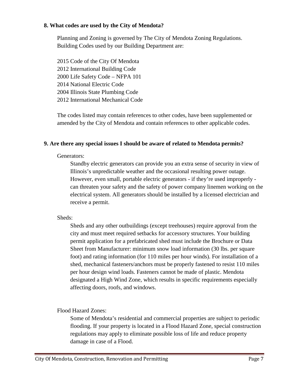#### **8. What codes are used by the City of Mendota?**

Planning and Zoning is governed by The City of Mendota Zoning Regulations. Building Codes used by our Building Department are:

2015 Code of the City Of Mendota 2012 International Building Code 2000 Life Safety Code – NFPA 101 2014 National Electric Code 2004 Illinois State Plumbing Code 2012 International Mechanical Code

The codes listed may contain references to other codes, have been supplemented or amended by the City of Mendota and contain references to other applicable codes.

#### **9. Are there any special issues I should be aware of related to Mendota permits?**

#### Generators:

Standby electric generators can provide you an extra sense of security in view of Illinois's unpredictable weather and the occasional resulting power outage. However, even small, portable electric generators - if they're used improperly can threaten your safety and the safety of power company linemen working on the electrical system. All generators should be installed by a licensed electrician and receive a permit.

#### Sheds:

Sheds and any other outbuildings (except treehouses) require approval from the city and must meet required setbacks for accessory structures. Your building permit application for a prefabricated shed must include the Brochure or Data Sheet from Manufacturer: minimum snow load information (30 lbs. per square foot) and rating information (for 110 miles per hour winds). For installation of a shed, mechanical fasteners/anchors must be properly fastened to resist 110 miles per hour design wind loads. Fasteners cannot be made of plastic. Mendota designated a High Wind Zone, which results in specific requirements especially affecting doors, roofs, and windows.

#### Flood Hazard Zones:

Some of Mendota's residential and commercial properties are subject to periodic flooding. If your property is located in a Flood Hazard Zone, special construction regulations may apply to eliminate possible loss of life and reduce property damage in case of a Flood.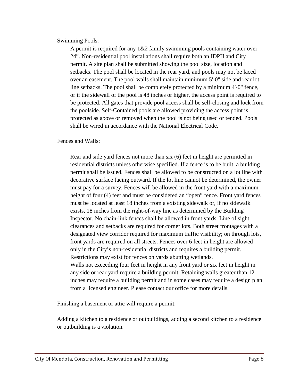#### Swimming Pools:

A permit is required for any  $1\&2$  family swimming pools containing water over 24". Non-residential pool installations shall require both an IDPH and City permit. A site plan shall be submitted showing the pool size, location and setbacks. The pool shall be located in the rear yard, and pools may not be laced over an easement. The pool walls shall maintain minimum 5'-0" side and rear lot line setbacks. The pool shall be completely protected by a minimum 4'-0" fence, or if the sidewall of the pool is 48 inches or higher, the access point is required to be protected. All gates that provide pool access shall be self-closing and lock from the poolside. Self-Contained pools are allowed providing the access point is protected as above or removed when the pool is not being used or tended. Pools shall be wired in accordance with the National Electrical Code.

#### Fences and Walls:

Rear and side yard fences not more than six (6) feet in height are permitted in residential districts unless otherwise specified. If a fence is to be built, a building permit shall be issued. Fences shall be allowed to be constructed on a lot line with decorative surface facing outward. If the lot line cannot be determined, the owner must pay for a survey. Fences will be allowed in the front yard with a maximum height of four (4) feet and must be considered an "open" fence. Front yard fences must be located at least 18 inches from a existing sidewalk or, if no sidewalk exists, 18 inches from the right-of-way line as determined by the Building Inspector. No chain-link fences shall be allowed in front yards. Line of sight clearances and setbacks are required for corner lots. Both street frontages with a designated view corridor required for maximum traffic visibility; on through lots, front yards are required on all streets. Fences over 6 feet in height are allowed only in the City's non-residential districts and requires a building permit. Restrictions may exist for fences on yards abutting wetlands. Walls not exceeding four feet in height in any front yard or six feet in height in any side or rear yard require a building permit. Retaining walls greater than 12 inches may require a building permit and in some cases may require a design plan from a licensed engineer. Please contact our office for more details.

Finishing a basement or attic will require a permit.

Adding a kitchen to a residence or outbuildings, adding a second kitchen to a residence or outbuilding is a violation.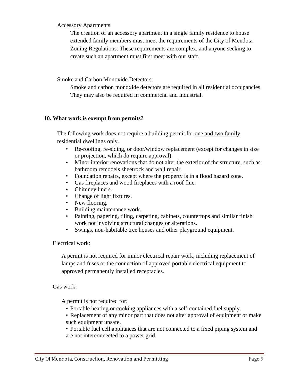Accessory Apartments:

The creation of an accessory apartment in a single family residence to house extended family members must meet the requirements of the City of Mendota Zoning Regulations. These requirements are complex, and anyone seeking to create such an apartment must first meet with our staff.

Smoke and Carbon Monoxide Detectors:

Smoke and carbon monoxide detectors are required in all residential occupancies. They may also be required in commercial and industrial.

#### **10. What work is exempt from permits?**

The following work does not require a building permit for <u>one and two family</u> residential dwellings only.

- Re-roofing, re-siding, or door/window replacement (except for changes in size or projection, which do require approval).
- Minor interior renovations that do not alter the exterior of the structure, such as bathroom remodels sheetrock and wall repair.
- Foundation repairs, except where the property is in a flood hazard zone.
- Gas fireplaces and wood fireplaces with a roof flue.
- Chimney liners.
- Change of light fixtures.
- New flooring.
- Building maintenance work.
- Painting, papering, tiling, carpeting, cabinets, countertops and similar finish work not involving structural changes or alterations.
- Swings, non-habitable tree houses and other playground equipment.

Electrical work:

A permit is not required for minor electrical repair work, including replacement of lamps and fuses or the connection of approved portable electrical equipment to approved permanently installed receptacles.

Gas work:

A permit is not required for:

- Portable heating or cooking appliances with a self-contained fuel supply.
- Replacement of any minor part that does not alter approval of equipment or make such equipment unsafe.

• Portable fuel cell appliances that are not connected to a fixed piping system and are not interconnected to a power grid.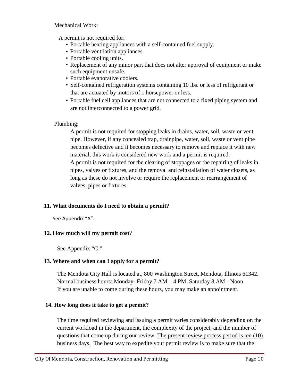Mechanical Work:

A permit is not required for:

- Portable heating appliances with a self-contained fuel supply.
- Portable ventilation appliances.
- Portable cooling units.
- Replacement of any minor part that does not alter approval of equipment or make such equipment unsafe.
- Portable evaporative coolers.
- Self-contained refrigeration systems containing 10 lbs. or less of refrigerant or that are actuated by motors of 1 horsepower or less.
- Portable fuel cell appliances that are not connected to a fixed piping system and are not interconnected to a power grid.

#### Plumbing:

A permit is not required for stopping leaks in drains, water, soil, waste or vent pipe. However, if any concealed trap, drainpipe, water, soil, waste or vent pipe becomes defective and it becomes necessary to remove and replace it with new material, this work is considered new work and a permit is required. A permit is not required for the clearing of stoppages or the repairing of leaks in pipes, valves or fixtures, and the removal and reinstallation of water closets, as long as these do not involve or require the replacement or rearrangement of valves, pipes or fixtures.

#### **11. What documents do I need to obtain a permit?**

See Appendix "A".

# **12. How much will my permit cost**?

See Appendix "C."

# **13. Where and when can I apply for a permit?**

The Mendota City Hall is located at, 800 Washington Street, Mendota, Illinois 61342. Normal business hours: Monday- Friday 7 AM – 4 PM, Saturday 8 AM - Noon. If you are unable to come during these hours, you may make an appointment.

# **14. How long does it take to get a permit?**

The time required reviewing and issuing a permit varies considerably depending on the current workload in the department, the complexity of the project, and the number of questions that come up during our review. The present review process period is ten (10) business days. The best way to expedite your permit review is to make sure that the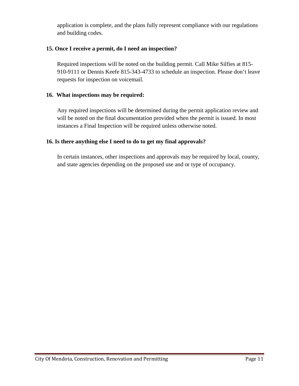application is complete, and the plans fully represent compliance with our regulations and building codes.

# **15. Once I receive a permit, do I need an inspection?**

Required inspections will be noted on the building permit. Call Mike Silfies at 815- 910-9111 or Dennis Keefe 815-343-4733 to schedule an inspection. Please don't leave requests for inspection on voicemail.

#### **16. What inspections may be required:**

Any required inspections will be determined during the permit application review and will be noted on the final documentation provided when the permit is issued. In most instances a Final Inspection will be required unless otherwise noted.

#### **16. Is there anything else I need to do to get my final approvals?**

In certain instances, other inspections and approvals may be required by local, county, and state agencies depending on the proposed use and or type of occupancy.